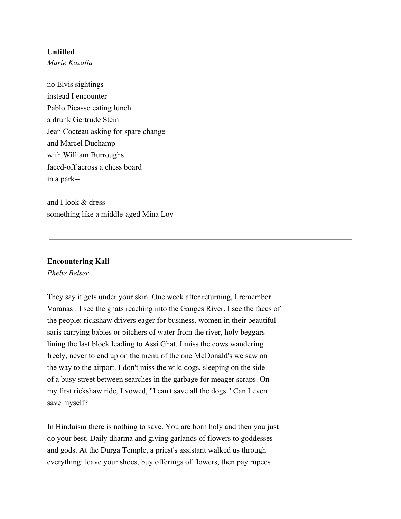## **Untitled**

*Marie Kazalia*

no Elvis sightings instead I encounter Pablo Picasso eating lunch a drunk Gertrude Stein Jean Cocteau asking for spare change and Marcel Duchamp with William Burroughs faced-off across a chess board in a park--

and I look & dress something like a middle-aged Mina Loy

## **Encountering Kali**

*Phebe Belser*

They say it gets under your skin. One week after returning, I remember Varanasi. I see the ghats reaching into the Ganges River. I see the faces of the people: rickshaw drivers eager for business, women in their beautiful saris carrying babies or pitchers of water from the river, holy beggars lining the last block leading to Assi Ghat. I miss the cows wandering freely, never to end up on the menu of the one McDonald's we saw on the way to the airport. I don't miss the wild dogs, sleeping on the side of a busy street between searches in the garbage for meager scraps. On my first rickshaw ride, I vowed, "I can't save all the dogs." Can I even save myself?

In Hinduism there is nothing to save. You are born holy and then you just do your best. Daily dharma and giving garlands of flowers to goddesses and gods. At the Durga Temple, a priest's assistant walked us through everything: leave your shoes, buy offerings of flowers, then pay rupees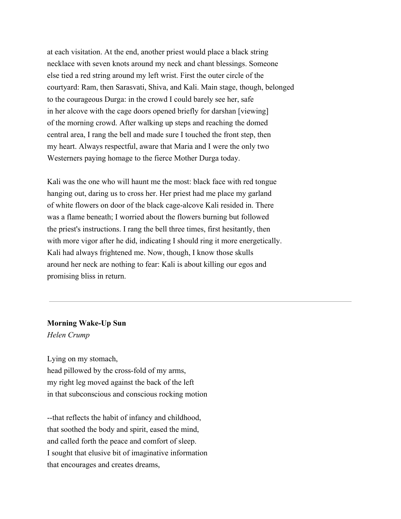at each visitation. At the end, another priest would place a black string necklace with seven knots around my neck and chant blessings. Someone else tied a red string around my left wrist. First the outer circle of the courtyard: Ram, then Sarasvati, Shiva, and Kali. Main stage, though, belonged to the courageous Durga: in the crowd I could barely see her, safe in her alcove with the cage doors opened briefly for darshan [viewing] of the morning crowd. After walking up steps and reaching the domed central area, I rang the bell and made sure I touched the front step, then my heart. Always respectful, aware that Maria and I were the only two Westerners paying homage to the fierce Mother Durga today.

Kali was the one who will haunt me the most: black face with red tongue hanging out, daring us to cross her. Her priest had me place my garland of white flowers on door of the black cage-alcove Kali resided in. There was a flame beneath; I worried about the flowers burning but followed the priest's instructions. I rang the bell three times, first hesitantly, then with more vigor after he did, indicating I should ring it more energetically. Kali had always frightened me. Now, though, I know those skulls around her neck are nothing to fear: Kali is about killing our egos and promising bliss in return.

**Morning Wake-Up Sun** *Helen Crump*

Lying on my stomach,

head pillowed by the cross-fold of my arms, my right leg moved against the back of the left in that subconscious and conscious rocking motion

--that reflects the habit of infancy and childhood, that soothed the body and spirit, eased the mind, and called forth the peace and comfort of sleep. I sought that elusive bit of imaginative information that encourages and creates dreams,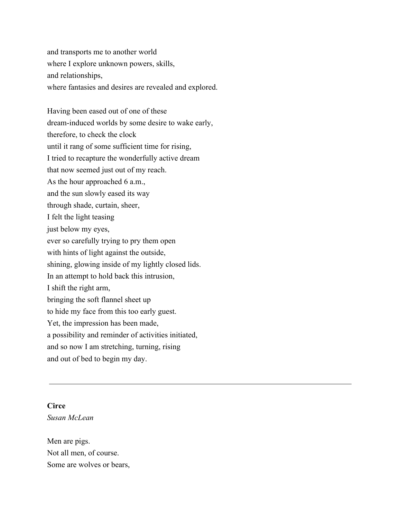and transports me to another world where I explore unknown powers, skills, and relationships, where fantasies and desires are revealed and explored.

Having been eased out of one of these dream-induced worlds by some desire to wake early, therefore, to check the clock until it rang of some sufficient time for rising, I tried to recapture the wonderfully active dream that now seemed just out of my reach. As the hour approached 6 a.m., and the sun slowly eased its way through shade, curtain, sheer, I felt the light teasing just below my eyes, ever so carefully trying to pry them open with hints of light against the outside, shining, glowing inside of my lightly closed lids. In an attempt to hold back this intrusion, I shift the right arm, bringing the soft flannel sheet up to hide my face from this too early guest. Yet, the impression has been made, a possibility and reminder of activities initiated, and so now I am stretching, turning, rising and out of bed to begin my day.

## **Circe** *Susan McLean*

Men are pigs. Not all men, of course. Some are wolves or bears,